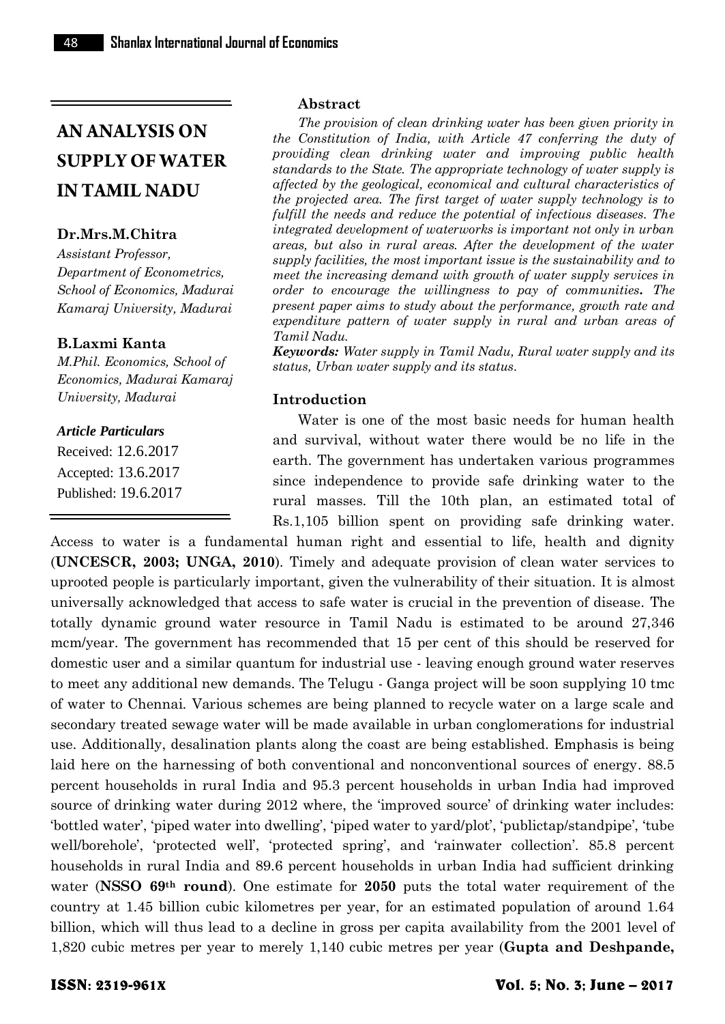#### **Dr.Mrs.M.Chitra**

*Assistant Professor, Department of Econometrics, School of Economics, Madurai Kamaraj University, Madurai*

#### **B.Laxmi Kanta**

*M.Phil. Economics, School of Economics, Madurai Kamaraj University, Madurai*

#### *Article Particulars*

Received: 12.6.2017 Accepted: 13.6.2017 Published: 19.6.2017

#### **Abstract**

*The provision of clean drinking water has been given priority in the Constitution of India, with Article 47 conferring the duty of providing clean drinking water and improving public health standards to the State. The appropriate technology of water supply is affected by the geological, economical and cultural characteristics of the projected area. The first target of water supply technology is to fulfill the needs and reduce the potential of infectious diseases. The integrated development of waterworks is important not only in urban areas, but also in rural areas. After the development of the water supply facilities, the most important issue is the sustainability and to meet the increasing demand with growth of water supply services in order to encourage the willingness to pay of communities. The present paper aims to study about the performance, growth rate and expenditure pattern of water supply in rural and urban areas of Tamil Nadu.*

*Keywords: Water supply in Tamil Nadu, Rural water supply and its status, Urban water supply and its status.*

#### **Introduction**

Water is one of the most basic needs for human health and survival, without water there would be no life in the earth. The government has undertaken various programmes since independence to provide safe drinking water to the rural masses. Till the 10th plan, an estimated total of Rs.1,105 billion spent on providing safe drinking water.

Access to water is a fundamental human right and essential to life, health and dignity (**UNCESCR, 2003; UNGA, 2010**). Timely and adequate provision of clean water services to uprooted people is particularly important, given the vulnerability of their situation. It is almost universally acknowledged that access to safe water is crucial in the prevention of disease. The totally dynamic ground water resource in Tamil Nadu is estimated to be around 27,346 mcm/year. The government has recommended that 15 per cent of this should be reserved for domestic user and a similar quantum for industrial use - leaving enough ground water reserves to meet any additional new demands. The Telugu - Ganga project will be soon supplying 10 tmc of water to Chennai. Various schemes are being planned to recycle water on a large scale and secondary treated sewage water will be made available in urban conglomerations for industrial use. Additionally, desalination plants along the coast are being established. Emphasis is being laid here on the harnessing of both conventional and nonconventional sources of energy. 88.5 percent households in rural India and 95.3 percent households in urban India had improved source of drinking water during 2012 where, the 'improved source' of drinking water includes: "bottled water", "piped water into dwelling", "piped water to yard/plot", "publictap/standpipe", "tube" well/borehole', 'protected well', 'protected spring', and 'rainwater collection'. 85.8 percent households in rural India and 89.6 percent households in urban India had sufficient drinking water (**NSSO 69th round**). One estimate for **2050** puts the total water requirement of the country at 1.45 billion cubic kilometres per year, for an estimated population of around 1.64 billion, which will thus lead to a decline in gross per capita availability from the 2001 level of 1,820 cubic metres per year to merely 1,140 cubic metres per year (**Gupta and Deshpande,**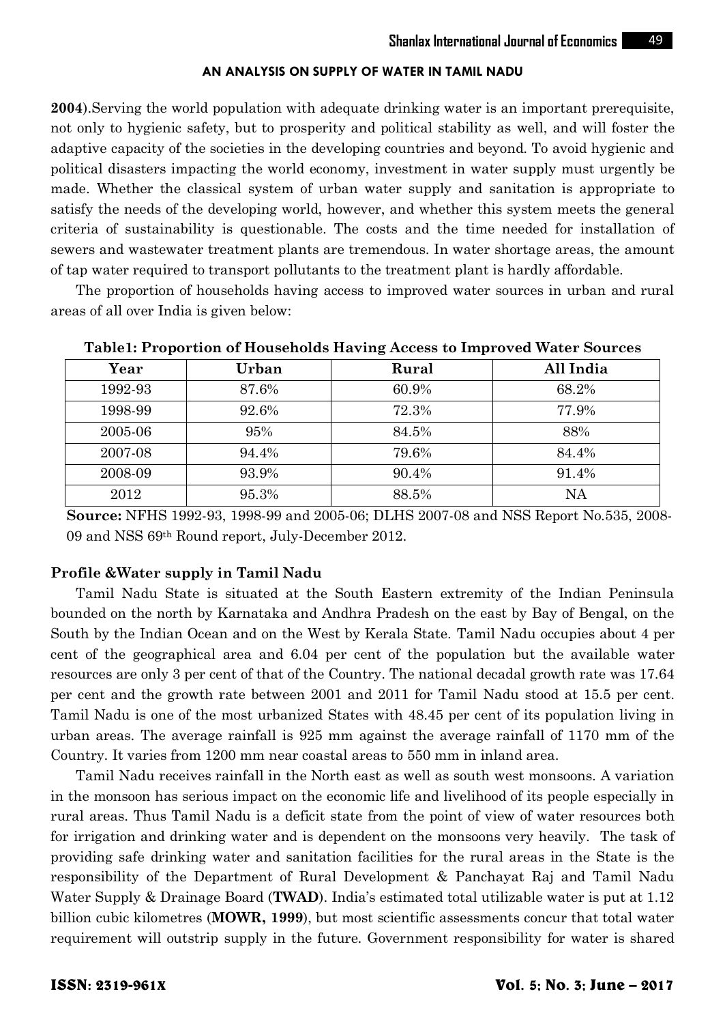**2004**).Serving the world population with adequate drinking water is an important prerequisite, not only to hygienic safety, but to prosperity and political stability as well, and will foster the adaptive capacity of the societies in the developing countries and beyond. To avoid hygienic and political disasters impacting the world economy, investment in water supply must urgently be made. Whether the classical system of urban water supply and sanitation is appropriate to satisfy the needs of the developing world, however, and whether this system meets the general criteria of sustainability is questionable. The costs and the time needed for installation of sewers and wastewater treatment plants are tremendous. In water shortage areas, the amount of tap water required to transport pollutants to the treatment plant is hardly affordable.

The proportion of households having access to improved water sources in urban and rural areas of all over India is given below:

| Year    | Urban | Rural | All India |  |
|---------|-------|-------|-----------|--|
| 1992-93 | 87.6% | 60.9% | 68.2%     |  |
| 1998-99 | 92.6% | 72.3% | 77.9%     |  |
| 2005-06 | 95%   | 84.5% | 88%       |  |
| 2007-08 | 94.4% | 79.6% | 84.4%     |  |
| 2008-09 | 93.9% | 90.4% | 91.4%     |  |
| 2012    | 95.3% | 88.5% | NA        |  |

**Table1: Proportion of Households Having Access to Improved Water Sources**

 **Source:** NFHS 1992-93, 1998-99 and 2005-06; DLHS 2007-08 and NSS Report No.535, 2008- 09 and NSS 69th Round report, July-December 2012.

#### **Profile &Water supply in Tamil Nadu**

Tamil Nadu State is situated at the South Eastern extremity of the Indian Peninsula bounded on the north by Karnataka and Andhra Pradesh on the east by Bay of Bengal, on the South by the Indian Ocean and on the West by Kerala State. Tamil Nadu occupies about 4 per cent of the geographical area and 6.04 per cent of the population but the available water resources are only 3 per cent of that of the Country. The national decadal growth rate was 17.64 per cent and the growth rate between 2001 and 2011 for Tamil Nadu stood at 15.5 per cent. Tamil Nadu is one of the most urbanized States with 48.45 per cent of its population living in urban areas. The average rainfall is 925 mm against the average rainfall of 1170 mm of the Country. It varies from 1200 mm near coastal areas to 550 mm in inland area.

Tamil Nadu receives rainfall in the North east as well as south west monsoons. A variation in the monsoon has serious impact on the economic life and livelihood of its people especially in rural areas. Thus Tamil Nadu is a deficit state from the point of view of water resources both for irrigation and drinking water and is dependent on the monsoons very heavily. The task of providing safe drinking water and sanitation facilities for the rural areas in the State is the responsibility of the Department of Rural Development & Panchayat Raj and Tamil Nadu Water Supply & Drainage Board (**TWAD**). India's estimated total utilizable water is put at 1.12 billion cubic kilometres (**MOWR, 1999**), but most scientific assessments concur that total water requirement will outstrip supply in the future. Government responsibility for water is shared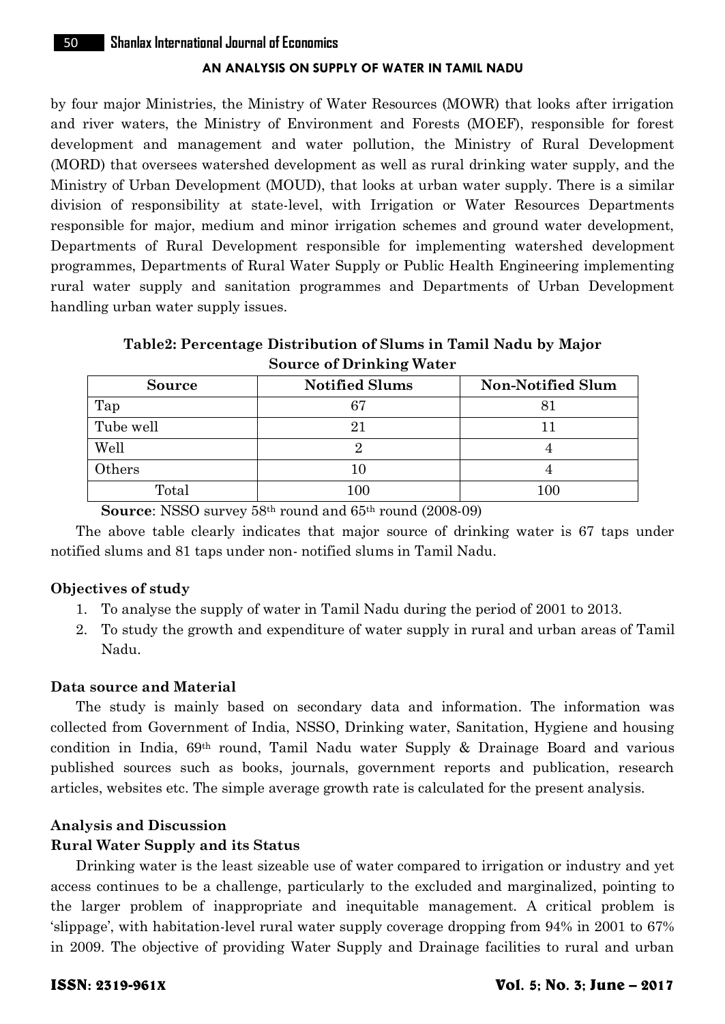by four major Ministries, the Ministry of Water Resources (MOWR) that looks after irrigation and river waters, the Ministry of Environment and Forests (MOEF), responsible for forest development and management and water pollution, the Ministry of Rural Development (MORD) that oversees watershed development as well as rural drinking water supply, and the Ministry of Urban Development (MOUD), that looks at urban water supply. There is a similar division of responsibility at state-level, with Irrigation or Water Resources Departments responsible for major, medium and minor irrigation schemes and ground water development, Departments of Rural Development responsible for implementing watershed development programmes, Departments of Rural Water Supply or Public Health Engineering implementing rural water supply and sanitation programmes and Departments of Urban Development handling urban water supply issues.

**Table2: Percentage Distribution of Slums in Tamil Nadu by Major Source of Drinking Water**

| Source    | <b>Notified Slums</b> | <b>Non-Notified Slum</b> |
|-----------|-----------------------|--------------------------|
| Tap       | 67                    |                          |
| Tube well | 21                    |                          |
| Well      |                       |                          |
| Others    | 10                    |                          |
| Total     | $100\,$               | 100                      |

**Source**: NSSO survey 58th round and 65th round (2008-09)

The above table clearly indicates that major source of drinking water is 67 taps under notified slums and 81 taps under non- notified slums in Tamil Nadu.

#### **Objectives of study**

- 1. To analyse the supply of water in Tamil Nadu during the period of 2001 to 2013.
- 2. To study the growth and expenditure of water supply in rural and urban areas of Tamil Nadu.

## **Data source and Material**

The study is mainly based on secondary data and information. The information was collected from Government of India, NSSO, Drinking water, Sanitation, Hygiene and housing condition in India, 69th round, Tamil Nadu water Supply & Drainage Board and various published sources such as books, journals, government reports and publication, research articles, websites etc. The simple average growth rate is calculated for the present analysis.

#### **Analysis and Discussion**

#### **Rural Water Supply and its Status**

Drinking water is the least sizeable use of water compared to irrigation or industry and yet access continues to be a challenge, particularly to the excluded and marginalized, pointing to the larger problem of inappropriate and inequitable management. A critical problem is "slippage", with habitation-level rural water supply coverage dropping from 94% in 2001 to 67% in 2009. The objective of providing Water Supply and Drainage facilities to rural and urban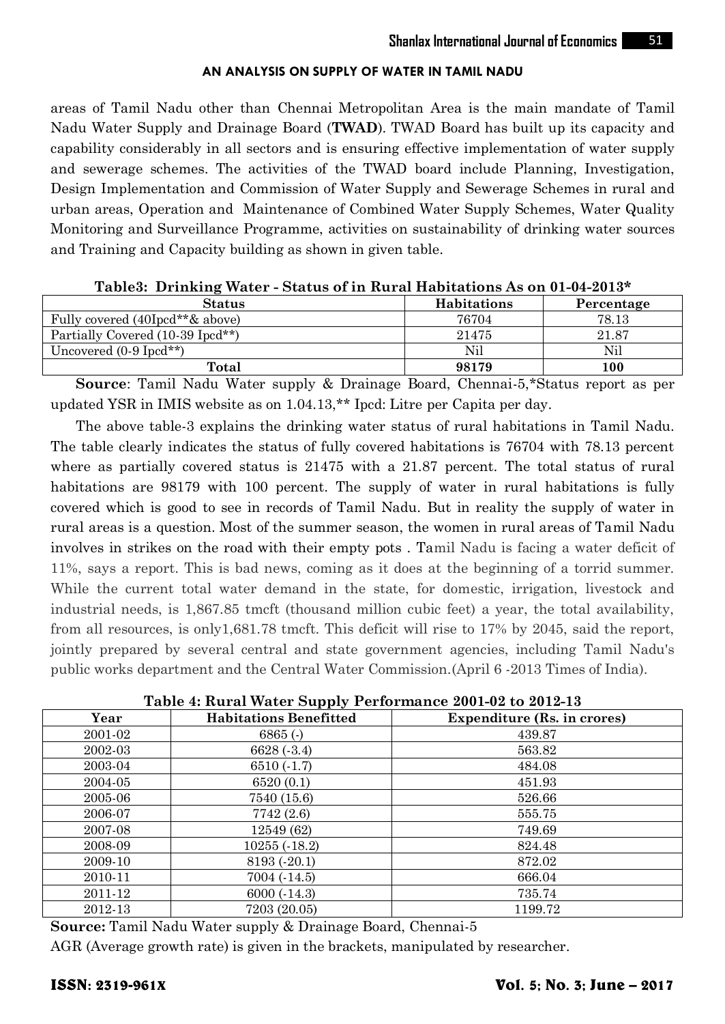areas of Tamil Nadu other than Chennai Metropolitan Area is the main mandate of Tamil Nadu Water Supply and Drainage Board (**TWAD**). TWAD Board has built up its capacity and capability considerably in all sectors and is ensuring effective implementation of water supply and sewerage schemes. The activities of the TWAD board include Planning, Investigation, Design Implementation and Commission of Water Supply and Sewerage Schemes in rural and urban areas, Operation and Maintenance of Combined Water Supply Schemes, Water Quality Monitoring and Surveillance Programme, activities on sustainability of drinking water sources and Training and Capacity building as shown in given table.

**Table3: Drinking Water - Status of in Rural Habitations As on 01-04-2013\***

| <b>Status</b>                       | <b>Habitations</b> | Percentage |
|-------------------------------------|--------------------|------------|
| Fully covered (40Ipcd**& above)     | 76704              | 78.13      |
| Partially Covered (10-39 Ipcd**)    | 21475              | 21.87      |
| Uncovered $(0.9 \text{ Ipcd}^{**})$ | Nil                | Nil        |
| Total                               | 98179              | 100        |

**Source**: Tamil Nadu Water supply & Drainage Board, Chennai-5,\*Status report as per updated YSR in IMIS website as on 1.04.13,\*\* Ipcd: Litre per Capita per day.

The above table-3 explains the drinking water status of rural habitations in Tamil Nadu. The table clearly indicates the status of fully covered habitations is 76704 with 78.13 percent where as partially covered status is 21475 with a 21.87 percent. The total status of rural habitations are 98179 with 100 percent. The supply of water in rural habitations is fully covered which is good to see in records of Tamil Nadu. But in reality the supply of water in rural areas is a question. Most of the summer season, the women in rural areas of Tamil Nadu involves in strikes on the road with their empty pots . Tamil Nadu is facing a water deficit of 11%, says a report. This is bad news, coming as it does at the beginning of a torrid summer. While the current total water demand in the state, for domestic, irrigation, livestock and industrial needs, is 1,867.85 tmcft (thousand million cubic feet) a year, the total availability, from all resources, is only1,681.78 tmcft. This deficit will rise to 17% by 2045, said the report, jointly prepared by several central and state government agencies, including Tamil Nadu's public works department and the Central Water Commission.(April 6 -2013 Times of India).

**Table 4: Rural Water Supply Performance 2001-02 to 2012-13**

| Year    | Table 4. Ivalar Watch Dupply I Chormance 2001 02 to 2012 to<br><b>Habitations Benefitted</b> | Expenditure (Rs. in crores) |  |  |
|---------|----------------------------------------------------------------------------------------------|-----------------------------|--|--|
| 2001-02 | $6865$ (-)                                                                                   | 439.87                      |  |  |
| 2002-03 | 6628(.3.4)                                                                                   | 563.82                      |  |  |
| 2003-04 | $6510(-1.7)$                                                                                 | 484.08                      |  |  |
| 2004-05 | 6520(0.1)                                                                                    | 451.93                      |  |  |
| 2005-06 | 7540 (15.6)                                                                                  | 526.66                      |  |  |
| 2006-07 | 7742 (2.6)                                                                                   | 555.75                      |  |  |
| 2007-08 | 12549 (62)                                                                                   | 749.69                      |  |  |
| 2008-09 | $10255(-18.2)$                                                                               | 824.48                      |  |  |
| 2009-10 | 8193 (-20.1)                                                                                 | 872.02                      |  |  |
| 2010-11 | 7004(.14.5)                                                                                  | 666.04                      |  |  |
| 2011-12 | $6000 (-14.3)$                                                                               | 735.74                      |  |  |
| 2012-13 | 7203 (20.05)                                                                                 | 1199.72                     |  |  |

**Source:** Tamil Nadu Water supply & Drainage Board, Chennai-5

AGR (Average growth rate) is given in the brackets, manipulated by researcher.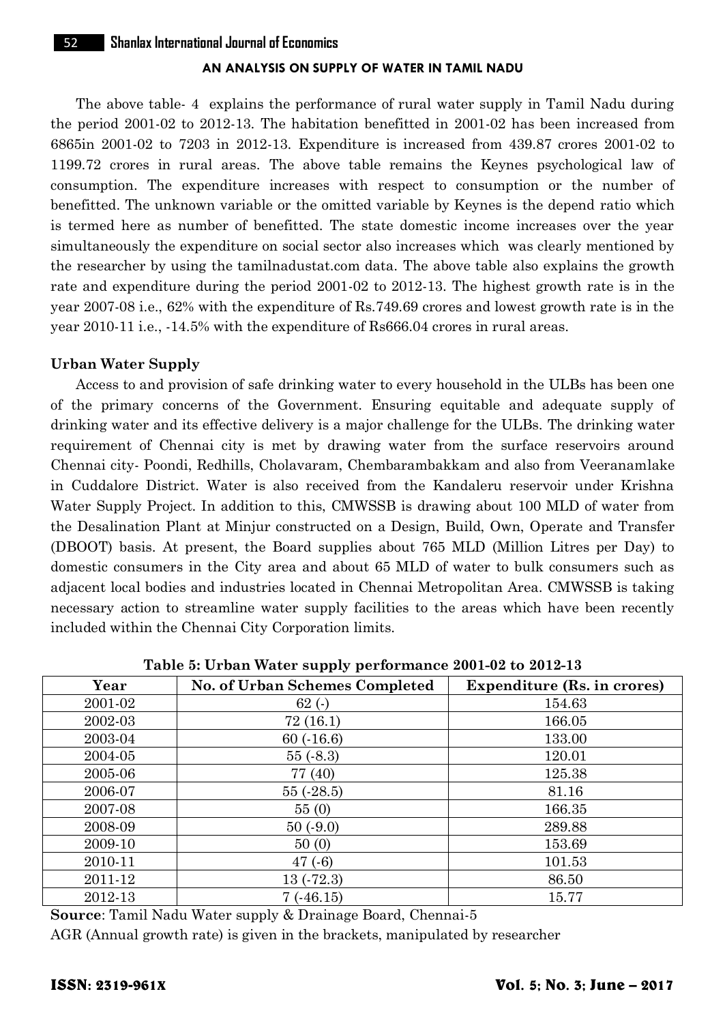The above table- 4 explains the performance of rural water supply in Tamil Nadu during the period 2001-02 to 2012-13. The habitation benefitted in 2001-02 has been increased from 6865in 2001-02 to 7203 in 2012-13. Expenditure is increased from 439.87 crores 2001-02 to 1199.72 crores in rural areas. The above table remains the Keynes psychological law of consumption. The expenditure increases with respect to consumption or the number of benefitted. The unknown variable or the omitted variable by Keynes is the depend ratio which is termed here as number of benefitted. The state domestic income increases over the year simultaneously the expenditure on social sector also increases which was clearly mentioned by the researcher by using the tamilnadustat.com data. The above table also explains the growth rate and expenditure during the period 2001-02 to 2012-13. The highest growth rate is in the year 2007-08 i.e., 62% with the expenditure of Rs.749.69 crores and lowest growth rate is in the year 2010-11 i.e., -14.5% with the expenditure of Rs666.04 crores in rural areas.

## **Urban Water Supply**

Access to and provision of safe drinking water to every household in the ULBs has been one of the primary concerns of the Government. Ensuring equitable and adequate supply of drinking water and its effective delivery is a major challenge for the ULBs. The drinking water requirement of Chennai city is met by drawing water from the surface reservoirs around Chennai city- Poondi, Redhills, Cholavaram, Chembarambakkam and also from Veeranamlake in Cuddalore District. Water is also received from the Kandaleru reservoir under Krishna Water Supply Project. In addition to this, CMWSSB is drawing about 100 MLD of water from the Desalination Plant at Minjur constructed on a Design, Build, Own, Operate and Transfer (DBOOT) basis. At present, the Board supplies about 765 MLD (Million Litres per Day) to domestic consumers in the City area and about 65 MLD of water to bulk consumers such as adjacent local bodies and industries located in Chennai Metropolitan Area. CMWSSB is taking necessary action to streamline water supply facilities to the areas which have been recently included within the Chennai City Corporation limits.

| Year    | No. of Urban Schemes Completed | <b>Expenditure (Rs. in crores)</b> |
|---------|--------------------------------|------------------------------------|
| 2001-02 | 62(.)                          | 154.63                             |
| 2002-03 | 72(16.1)                       | 166.05                             |
| 2003-04 | 60(.16.6)                      | 133.00                             |
| 2004-05 | 55(.8.3)                       | 120.01                             |
| 2005-06 | 77 (40)                        | 125.38                             |
| 2006-07 | 55(.28.5)                      | 81.16                              |
| 2007-08 | 55(0)                          | 166.35                             |
| 2008-09 | 50(.9.0)                       | 289.88                             |
| 2009-10 | 50(0)                          | 153.69                             |
| 2010-11 | 47(.6)                         | 101.53                             |
| 2011-12 | 13(.72.3)                      | 86.50                              |
| 2012-13 | 7(.46.15)                      | 15.77                              |

**Table 5: Urban Water supply performance 2001-02 to 2012-13**

**Source**: Tamil Nadu Water supply & Drainage Board, Chennai-5

AGR (Annual growth rate) is given in the brackets, manipulated by researcher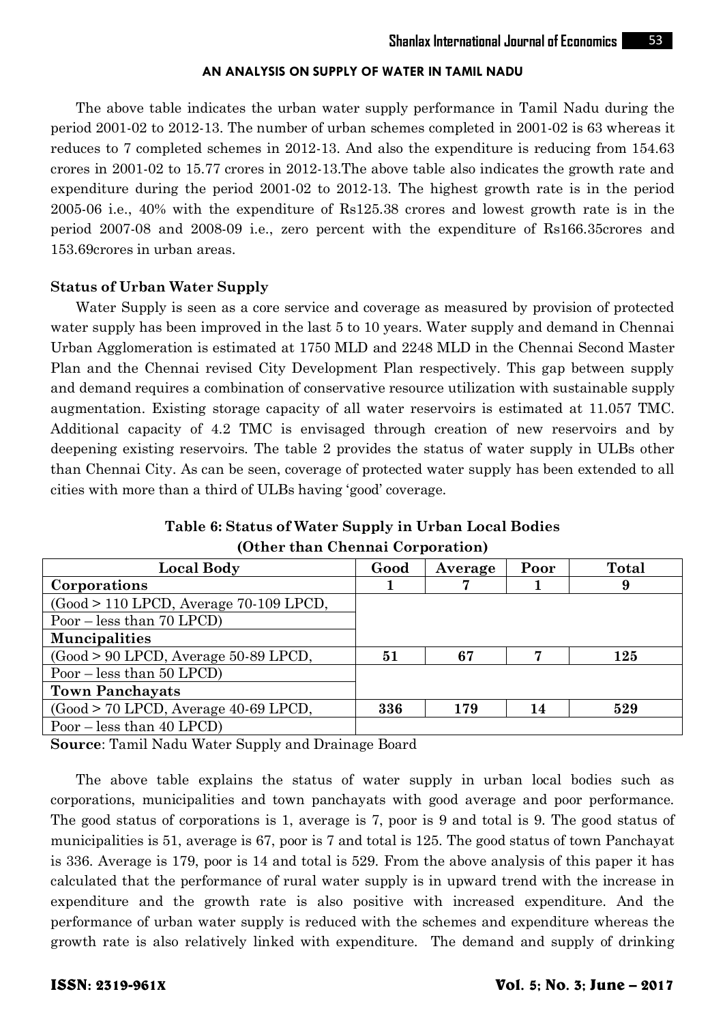The above table indicates the urban water supply performance in Tamil Nadu during the period 2001-02 to 2012-13. The number of urban schemes completed in 2001-02 is 63 whereas it reduces to 7 completed schemes in 2012-13. And also the expenditure is reducing from 154.63 crores in 2001-02 to 15.77 crores in 2012-13.The above table also indicates the growth rate and expenditure during the period 2001-02 to 2012-13. The highest growth rate is in the period 2005-06 i.e., 40% with the expenditure of Rs125.38 crores and lowest growth rate is in the period 2007-08 and 2008-09 i.e., zero percent with the expenditure of Rs166.35crores and 153.69crores in urban areas.

#### **Status of Urban Water Supply**

Water Supply is seen as a core service and coverage as measured by provision of protected water supply has been improved in the last 5 to 10 years. Water supply and demand in Chennai Urban Agglomeration is estimated at 1750 MLD and 2248 MLD in the Chennai Second Master Plan and the Chennai revised City Development Plan respectively. This gap between supply and demand requires a combination of conservative resource utilization with sustainable supply augmentation. Existing storage capacity of all water reservoirs is estimated at 11.057 TMC. Additional capacity of 4.2 TMC is envisaged through creation of new reservoirs and by deepening existing reservoirs. The table 2 provides the status of water supply in ULBs other than Chennai City. As can be seen, coverage of protected water supply has been extended to all cities with more than a third of ULBs having "good" coverage.

| Table 6: Status of Water Supply in Urban Local Bodies |  |
|-------------------------------------------------------|--|
| (Other than Chennai Corporation)                      |  |

| <b>Local Body</b>                        | Good | Average | Poor | <b>Total</b> |
|------------------------------------------|------|---------|------|--------------|
| Corporations                             |      |         |      | 9            |
| $(Good > 110$ LPCD, Average 70-109 LPCD, |      |         |      |              |
| Poor $-$ less than 70 LPCD)              |      |         |      |              |
| <b>Muncipalities</b>                     |      |         |      |              |
| $(Good > 90 LPCD, Average 50-89 LPCD,$   | 51   | 67      |      | 125          |
| Poor $-$ less than 50 LPCD)              |      |         |      |              |
| <b>Town Panchayats</b>                   |      |         |      |              |
| $(Good > 70$ LPCD, Average 40-69 LPCD,   | 336  | 179     | 14   | 529          |
| Poor $-$ less than 40 LPCD)              |      |         |      |              |

**Source**: Tamil Nadu Water Supply and Drainage Board

The above table explains the status of water supply in urban local bodies such as corporations, municipalities and town panchayats with good average and poor performance. The good status of corporations is 1, average is 7, poor is 9 and total is 9. The good status of municipalities is 51, average is 67, poor is 7 and total is 125. The good status of town Panchayat is 336. Average is 179, poor is 14 and total is 529. From the above analysis of this paper it has calculated that the performance of rural water supply is in upward trend with the increase in expenditure and the growth rate is also positive with increased expenditure. And the performance of urban water supply is reduced with the schemes and expenditure whereas the growth rate is also relatively linked with expenditure. The demand and supply of drinking